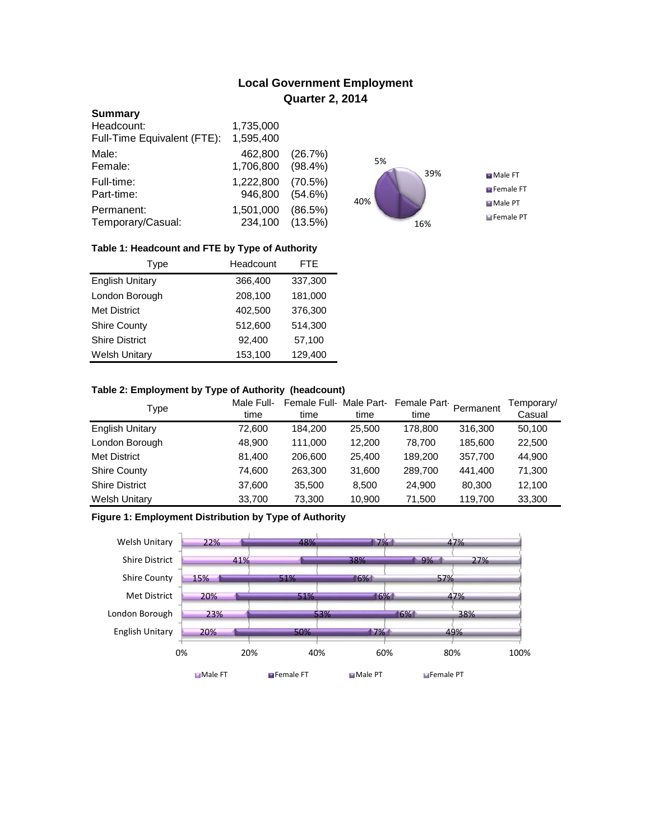# **Local Government Employment Quarter 2, 2014**

### **Summary**

| Headcount:                  | 1,735,000 |            |
|-----------------------------|-----------|------------|
| Full-Time Equivalent (FTE): | 1,595,400 |            |
| Male:                       | 462,800   | (26.7%)    |
| Female:                     | 1,706,800 | $(98.4\%)$ |
| Full-time:                  | 1,222,800 | $(70.5\%)$ |
| Part-time:                  | 946,800   | $(54.6\%)$ |
| Permanent:                  | 1,501,000 | (86.5%)    |
| Temporary/Casual:           | 234,100   | $(13.5\%)$ |



## **Table 1: Headcount and FTE by Type of Authority**

| Type                   | Headcount | <b>FTE</b> |  |
|------------------------|-----------|------------|--|
| <b>English Unitary</b> | 366,400   | 337,300    |  |
| London Borough         | 208,100   | 181,000    |  |
| <b>Met District</b>    | 402.500   | 376,300    |  |
| <b>Shire County</b>    | 512,600   | 514,300    |  |
| <b>Shire District</b>  | 92,400    | 57,100     |  |
| <b>Welsh Unitary</b>   | 153,100   | 129,400    |  |

## **Table 2: Employment by Type of Authority (headcount)**

| Type                   | Male Full-<br>time | Female Full-Male Part-<br>time | time   | Female Part<br>time | Permanent | Temporary/<br>Casual |
|------------------------|--------------------|--------------------------------|--------|---------------------|-----------|----------------------|
| <b>English Unitary</b> | 72,600             | 184.200                        | 25,500 | 178,800             | 316,300   | 50,100               |
| London Borough         | 48,900             | 111.000                        | 12.200 | 78.700              | 185,600   | 22,500               |
| <b>Met District</b>    | 81,400             | 206,600                        | 25,400 | 189.200             | 357,700   | 44,900               |
| <b>Shire County</b>    | 74,600             | 263,300                        | 31,600 | 289,700             | 441,400   | 71,300               |
| <b>Shire District</b>  | 37,600             | 35,500                         | 8.500  | 24.900              | 80.300    | 12,100               |
| <b>Welsh Unitary</b>   | 33,700             | 73,300                         | 10,900 | 71,500              | 119,700   | 33,300               |

## **Figure 1: Employment Distribution by Type of Authority**